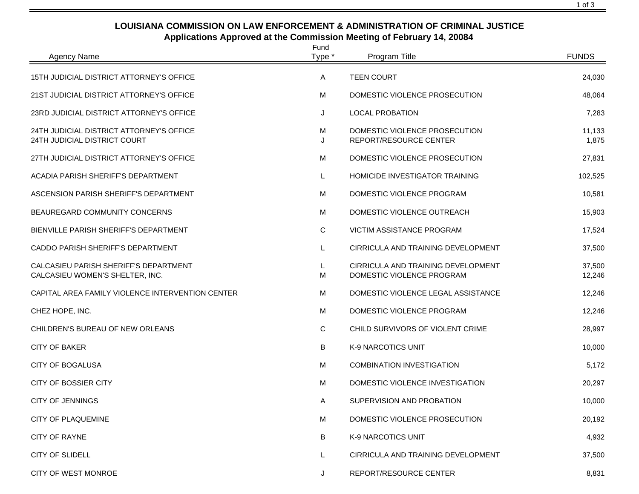## **LOUISIANA COMMISSION ON LAW ENFORCEMENT & ADMINISTRATION OF CRIMINAL JUSTICE Applications Approved at the Commission Meeting of February 14, 20084**

| <b>Agency Name</b>                                                       | Fund<br>Type * | Program Title                                                   | <b>FUNDS</b>     |
|--------------------------------------------------------------------------|----------------|-----------------------------------------------------------------|------------------|
| 15TH JUDICIAL DISTRICT ATTORNEY'S OFFICE                                 | Α              | <b>TEEN COURT</b>                                               | 24,030           |
| 21ST JUDICIAL DISTRICT ATTORNEY'S OFFICE                                 | M              | DOMESTIC VIOLENCE PROSECUTION                                   | 48,064           |
| 23RD JUDICIAL DISTRICT ATTORNEY'S OFFICE                                 | J              | <b>LOCAL PROBATION</b>                                          | 7,283            |
| 24TH JUDICIAL DISTRICT ATTORNEY'S OFFICE<br>24TH JUDICIAL DISTRICT COURT | М<br>J         | DOMESTIC VIOLENCE PROSECUTION<br>REPORT/RESOURCE CENTER         | 11,133<br>1,875  |
| 27TH JUDICIAL DISTRICT ATTORNEY'S OFFICE                                 | M              | DOMESTIC VIOLENCE PROSECUTION                                   | 27,831           |
| ACADIA PARISH SHERIFF'S DEPARTMENT                                       | L              | <b>HOMICIDE INVESTIGATOR TRAINING</b>                           | 102,525          |
| ASCENSION PARISH SHERIFF'S DEPARTMENT                                    | M              | DOMESTIC VIOLENCE PROGRAM                                       | 10,581           |
| BEAUREGARD COMMUNITY CONCERNS                                            | M              | DOMESTIC VIOLENCE OUTREACH                                      | 15,903           |
| BIENVILLE PARISH SHERIFF'S DEPARTMENT                                    | C              | VICTIM ASSISTANCE PROGRAM                                       | 17,524           |
| CADDO PARISH SHERIFF'S DEPARTMENT                                        | L              | CIRRICULA AND TRAINING DEVELOPMENT                              | 37,500           |
| CALCASIEU PARISH SHERIFF'S DEPARTMENT<br>CALCASIEU WOMEN'S SHELTER, INC. | L.<br>M        | CIRRICULA AND TRAINING DEVELOPMENT<br>DOMESTIC VIOLENCE PROGRAM | 37,500<br>12,246 |
| CAPITAL AREA FAMILY VIOLENCE INTERVENTION CENTER                         | M              | DOMESTIC VIOLENCE LEGAL ASSISTANCE                              | 12,246           |
| CHEZ HOPE, INC.                                                          | M              | DOMESTIC VIOLENCE PROGRAM                                       | 12,246           |
| CHILDREN'S BUREAU OF NEW ORLEANS                                         | C              | CHILD SURVIVORS OF VIOLENT CRIME                                | 28,997           |
| <b>CITY OF BAKER</b>                                                     | B              | K-9 NARCOTICS UNIT                                              | 10,000           |
| <b>CITY OF BOGALUSA</b>                                                  | M              | <b>COMBINATION INVESTIGATION</b>                                | 5,172            |
| <b>CITY OF BOSSIER CITY</b>                                              | M              | DOMESTIC VIOLENCE INVESTIGATION                                 | 20,297           |
| <b>CITY OF JENNINGS</b>                                                  | Α              | SUPERVISION AND PROBATION                                       | 10,000           |
| <b>CITY OF PLAQUEMINE</b>                                                | М              | DOMESTIC VIOLENCE PROSECUTION                                   | 20,192           |
| <b>CITY OF RAYNE</b>                                                     | В              | <b>K-9 NARCOTICS UNIT</b>                                       | 4,932            |
| <b>CITY OF SLIDELL</b>                                                   | L.             | CIRRICULA AND TRAINING DEVELOPMENT                              | 37,500           |
| CITY OF WEST MONROE                                                      | J              | REPORT/RESOURCE CENTER                                          | 8,831            |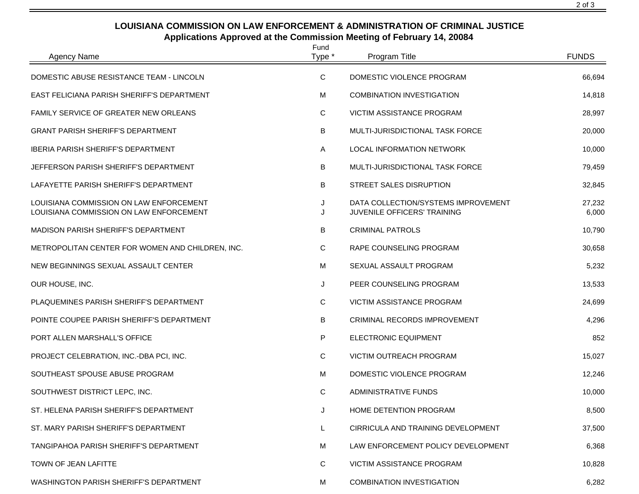## **LOUISIANA COMMISSION ON LAW ENFORCEMENT & ADMINISTRATION OF CRIMINAL JUSTICE Applications Approved at the Commission Meeting of February 14, 20084**

| <b>Agency Name</b>                                                                 | Fund<br>Type * | Program Title                                                      | <b>FUNDS</b>    |
|------------------------------------------------------------------------------------|----------------|--------------------------------------------------------------------|-----------------|
| DOMESTIC ABUSE RESISTANCE TEAM - LINCOLN                                           | C              | DOMESTIC VIOLENCE PROGRAM                                          | 66,694          |
| EAST FELICIANA PARISH SHERIFF'S DEPARTMENT                                         | M              | <b>COMBINATION INVESTIGATION</b>                                   | 14,818          |
| <b>FAMILY SERVICE OF GREATER NEW ORLEANS</b>                                       | С              | <b>VICTIM ASSISTANCE PROGRAM</b>                                   | 28,997          |
| <b>GRANT PARISH SHERIFF'S DEPARTMENT</b>                                           | В              | MULTI-JURISDICTIONAL TASK FORCE                                    | 20,000          |
| <b>IBERIA PARISH SHERIFF'S DEPARTMENT</b>                                          | Α              | LOCAL INFORMATION NETWORK                                          | 10,000          |
| JEFFERSON PARISH SHERIFF'S DEPARTMENT                                              | B              | MULTI-JURISDICTIONAL TASK FORCE                                    | 79,459          |
| LAFAYETTE PARISH SHERIFF'S DEPARTMENT                                              | В              | STREET SALES DISRUPTION                                            | 32,845          |
| LOUISIANA COMMISSION ON LAW ENFORCEMENT<br>LOUISIANA COMMISSION ON LAW ENFORCEMENT | J<br>J         | DATA COLLECTION/SYSTEMS IMPROVEMENT<br>JUVENILE OFFICERS' TRAINING | 27,232<br>6,000 |
| MADISON PARISH SHERIFF'S DEPARTMENT                                                | В              | <b>CRIMINAL PATROLS</b>                                            | 10,790          |
| METROPOLITAN CENTER FOR WOMEN AND CHILDREN, INC.                                   | С              | RAPE COUNSELING PROGRAM                                            | 30,658          |
| NEW BEGINNINGS SEXUAL ASSAULT CENTER                                               | М              | SEXUAL ASSAULT PROGRAM                                             | 5,232           |
| OUR HOUSE, INC.                                                                    | J              | PEER COUNSELING PROGRAM                                            | 13,533          |
| PLAQUEMINES PARISH SHERIFF'S DEPARTMENT                                            | C              | VICTIM ASSISTANCE PROGRAM                                          | 24,699          |
| POINTE COUPEE PARISH SHERIFF'S DEPARTMENT                                          | В              | CRIMINAL RECORDS IMPROVEMENT                                       | 4,296           |
| PORT ALLEN MARSHALL'S OFFICE                                                       | P              | ELECTRONIC EQUIPMENT                                               | 852             |
| PROJECT CELEBRATION, INC.-DBA PCI, INC.                                            | С              | VICTIM OUTREACH PROGRAM                                            | 15,027          |
| SOUTHEAST SPOUSE ABUSE PROGRAM                                                     | M              | DOMESTIC VIOLENCE PROGRAM                                          | 12,246          |
| SOUTHWEST DISTRICT LEPC, INC.                                                      | C              | <b>ADMINISTRATIVE FUNDS</b>                                        | 10,000          |
| ST. HELENA PARISH SHERIFF'S DEPARTMENT                                             | J              | HOME DETENTION PROGRAM                                             | 8,500           |
| ST. MARY PARISH SHERIFF'S DEPARTMENT                                               | L              | CIRRICULA AND TRAINING DEVELOPMENT                                 | 37,500          |
| TANGIPAHOA PARISH SHERIFF'S DEPARTMENT                                             | М              | LAW ENFORCEMENT POLICY DEVELOPMENT                                 | 6,368           |
| TOWN OF JEAN LAFITTE                                                               | C              | VICTIM ASSISTANCE PROGRAM                                          | 10,828          |
| WASHINGTON PARISH SHERIFF'S DEPARTMENT                                             | М              | <b>COMBINATION INVESTIGATION</b>                                   | 6,282           |